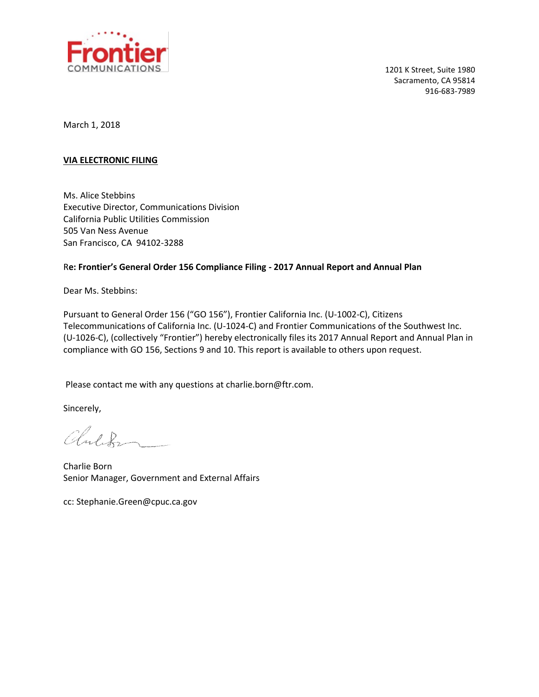

1201 K Street, Suite 1980 Sacramento, CA 95814 916-683-7989

March 1, 2018

#### **VIA ELECTRONIC FILING**

Ms. Alice Stebbins Executive Director, Communications Division California Public Utilities Commission 505 Van Ness Avenue San Francisco, CA 94102-3288

#### R**e: Frontier's General Order 156 Compliance Filing - 2017 Annual Report and Annual Plan**

Dear Ms. Stebbins:

Pursuant to General Order 156 ("GO 156"), Frontier California Inc. (U-1002-C), Citizens Telecommunications of California Inc. (U-1024-C) and Frontier Communications of the Southwest Inc. (U-1026-C), (collectively "Frontier") hereby electronically files its 2017 Annual Report and Annual Plan in compliance with GO 156, Sections 9 and 10. This report is available to others upon request.

Please contact me with any questions at charlie.born@ftr.com.

Sincerely,

Children

Charlie Born Senior Manager, Government and External Affairs

cc: Stephanie.Green@cpuc.ca.gov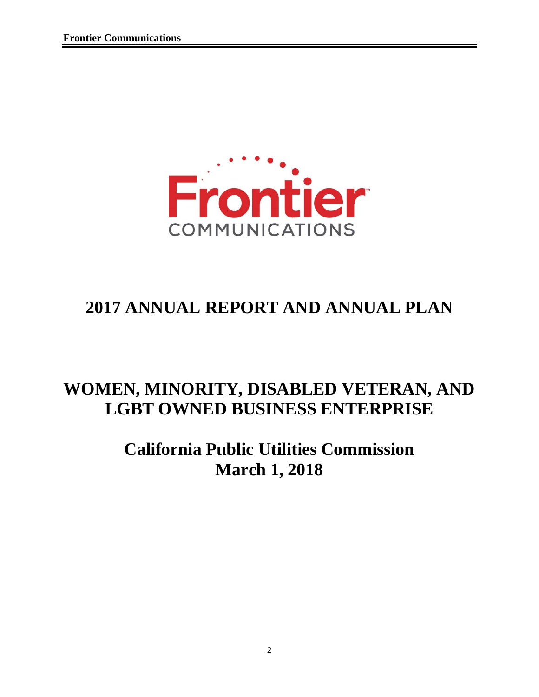

# **2017 ANNUAL REPORT AND ANNUAL PLAN**

# **WOMEN, MINORITY, DISABLED VETERAN, AND LGBT OWNED BUSINESS ENTERPRISE**

# **California Public Utilities Commission March 1, 2018**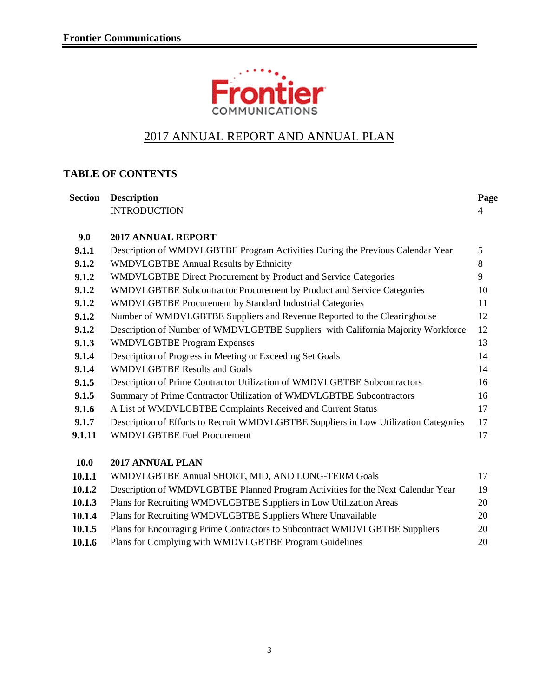

## 2017 ANNUAL REPORT AND ANNUAL PLAN

### **TABLE OF CONTENTS**

| <b>Section</b> | <b>Description</b>                                                                   | Page |
|----------------|--------------------------------------------------------------------------------------|------|
|                | <b>INTRODUCTION</b>                                                                  | 4    |
| 9.0            | <b>2017 ANNUAL REPORT</b>                                                            |      |
| 9.1.1          | Description of WMDVLGBTBE Program Activities During the Previous Calendar Year       | 5    |
| 9.1.2          | WMDVLGBTBE Annual Results by Ethnicity                                               | 8    |
| 9.1.2          | WMDVLGBTBE Direct Procurement by Product and Service Categories                      | 9    |
| 9.1.2          | WMDVLGBTBE Subcontractor Procurement by Product and Service Categories               | 10   |
| 9.1.2          | WMDVLGBTBE Procurement by Standard Industrial Categories                             | 11   |
| 9.1.2          | Number of WMDVLGBTBE Suppliers and Revenue Reported to the Clearinghouse             | 12   |
| 9.1.2          | Description of Number of WMDVLGBTBE Suppliers with California Majority Workforce     | 12   |
| 9.1.3          | <b>WMDVLGBTBE Program Expenses</b>                                                   | 13   |
| 9.1.4          | Description of Progress in Meeting or Exceeding Set Goals                            | 14   |
| 9.1.4          | <b>WMDVLGBTBE Results and Goals</b>                                                  | 14   |
| 9.1.5          | Description of Prime Contractor Utilization of WMDVLGBTBE Subcontractors             | 16   |
| 9.1.5          | Summary of Prime Contractor Utilization of WMDVLGBTBE Subcontractors                 | 16   |
| 9.1.6          | A List of WMDVLGBTBE Complaints Received and Current Status                          | 17   |
| 9.1.7          | Description of Efforts to Recruit WMDVLGBTBE Suppliers in Low Utilization Categories | 17   |
| 9.1.11         | <b>WMDVLGBTBE Fuel Procurement</b>                                                   | 17   |
| <b>10.0</b>    | 2017 ANNUAL PLAN                                                                     |      |
| 10.1.1         | WMDVLGBTBE Annual SHORT, MID, AND LONG-TERM Goals                                    | 17   |
| 10.1.2         | Description of WMDVLGBTBE Planned Program Activities for the Next Calendar Year      | 19   |
| 10.1.3         | Plans for Recruiting WMDVLGBTBE Suppliers in Low Utilization Areas                   | 20   |
| 10.1.4         | Plans for Recruiting WMDVLGBTBE Suppliers Where Unavailable                          | 20   |

| 10.1.5 | Plans for Encouraging Prime Contractors to Subcontract WMDVLGBTBE Suppliers | 20 |
|--------|-----------------------------------------------------------------------------|----|
| 10.1.6 | Plans for Complying with WMDVLGBTBE Program Guidelines                      | 20 |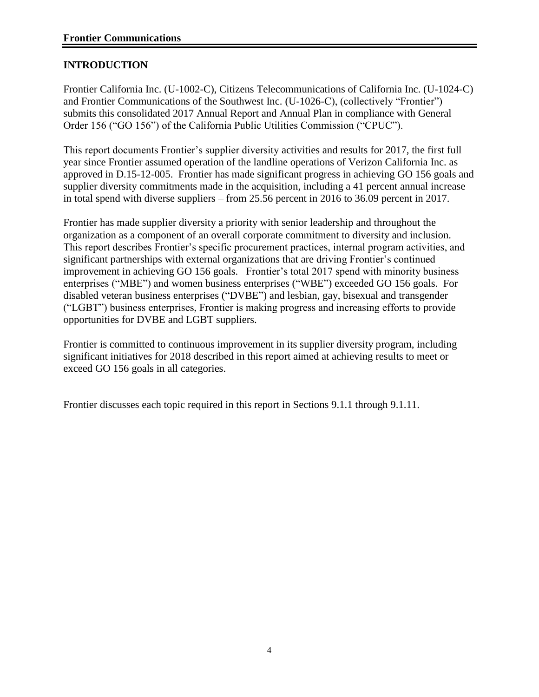#### **INTRODUCTION**

Frontier California Inc. (U-1002-C), Citizens Telecommunications of California Inc. (U-1024-C) and Frontier Communications of the Southwest Inc. (U-1026-C), (collectively "Frontier") submits this consolidated 2017 Annual Report and Annual Plan in compliance with General Order 156 ("GO 156") of the California Public Utilities Commission ("CPUC").

This report documents Frontier's supplier diversity activities and results for 2017, the first full year since Frontier assumed operation of the landline operations of Verizon California Inc. as approved in D.15-12-005. Frontier has made significant progress in achieving GO 156 goals and supplier diversity commitments made in the acquisition, including a 41 percent annual increase in total spend with diverse suppliers – from 25.56 percent in 2016 to 36.09 percent in 2017.

Frontier has made supplier diversity a priority with senior leadership and throughout the organization as a component of an overall corporate commitment to diversity and inclusion. This report describes Frontier's specific procurement practices, internal program activities, and significant partnerships with external organizations that are driving Frontier's continued improvement in achieving GO 156 goals. Frontier's total 2017 spend with minority business enterprises ("MBE") and women business enterprises ("WBE") exceeded GO 156 goals. For disabled veteran business enterprises ("DVBE") and lesbian, gay, bisexual and transgender ("LGBT") business enterprises, Frontier is making progress and increasing efforts to provide opportunities for DVBE and LGBT suppliers.

Frontier is committed to continuous improvement in its supplier diversity program, including significant initiatives for 2018 described in this report aimed at achieving results to meet or exceed GO 156 goals in all categories.

Frontier discusses each topic required in this report in Sections 9.1.1 through 9.1.11.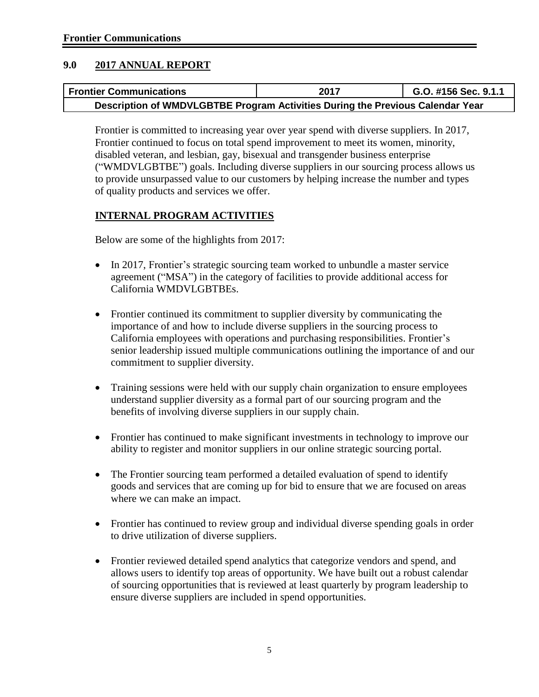#### **9.0 2017 ANNUAL REPORT**

| <b>Frontier Communications</b>                                                 | 2017 | G.O. #156 Sec. 9.1.1 |
|--------------------------------------------------------------------------------|------|----------------------|
| Description of WMDVLGBTBE Program Activities During the Previous Calendar Year |      |                      |

Frontier is committed to increasing year over year spend with diverse suppliers. In 2017, Frontier continued to focus on total spend improvement to meet its women, minority, disabled veteran, and lesbian, gay, bisexual and transgender business enterprise ("WMDVLGBTBE") goals. Including diverse suppliers in our sourcing process allows us to provide unsurpassed value to our customers by helping increase the number and types of quality products and services we offer.

#### **INTERNAL PROGRAM ACTIVITIES**

Below are some of the highlights from 2017:

- In 2017, Frontier's strategic sourcing team worked to unbundle a master service agreement ("MSA") in the category of facilities to provide additional access for California WMDVLGBTBEs.
- Frontier continued its commitment to supplier diversity by communicating the importance of and how to include diverse suppliers in the sourcing process to California employees with operations and purchasing responsibilities. Frontier's senior leadership issued multiple communications outlining the importance of and our commitment to supplier diversity.
- Training sessions were held with our supply chain organization to ensure employees understand supplier diversity as a formal part of our sourcing program and the benefits of involving diverse suppliers in our supply chain.
- Frontier has continued to make significant investments in technology to improve our ability to register and monitor suppliers in our online strategic sourcing portal.
- The Frontier sourcing team performed a detailed evaluation of spend to identify goods and services that are coming up for bid to ensure that we are focused on areas where we can make an impact.
- Frontier has continued to review group and individual diverse spending goals in order to drive utilization of diverse suppliers.
- Frontier reviewed detailed spend analytics that categorize vendors and spend, and allows users to identify top areas of opportunity. We have built out a robust calendar of sourcing opportunities that is reviewed at least quarterly by program leadership to ensure diverse suppliers are included in spend opportunities.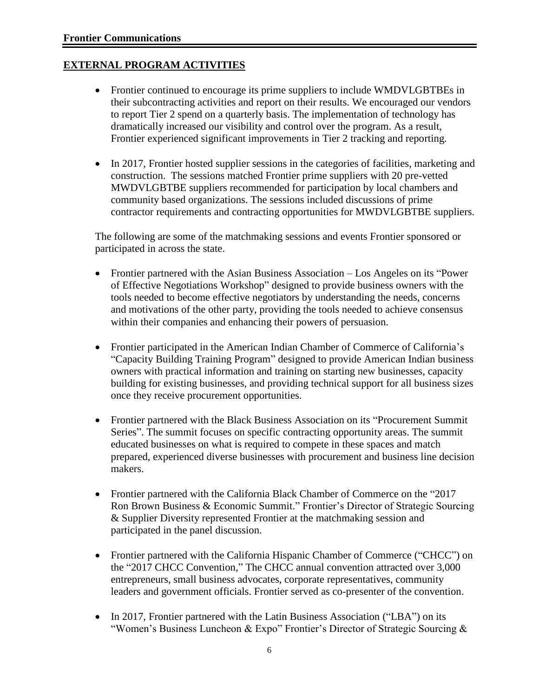#### **EXTERNAL PROGRAM ACTIVITIES**

- Frontier continued to encourage its prime suppliers to include WMDVLGBTBEs in their subcontracting activities and report on their results. We encouraged our vendors to report Tier 2 spend on a quarterly basis. The implementation of technology has dramatically increased our visibility and control over the program. As a result, Frontier experienced significant improvements in Tier 2 tracking and reporting.
- In 2017, Frontier hosted supplier sessions in the categories of facilities, marketing and construction. The sessions matched Frontier prime suppliers with 20 pre-vetted MWDVLGBTBE suppliers recommended for participation by local chambers and community based organizations. The sessions included discussions of prime contractor requirements and contracting opportunities for MWDVLGBTBE suppliers.

The following are some of the matchmaking sessions and events Frontier sponsored or participated in across the state.

- Frontier partnered with the Asian Business Association Los Angeles on its "Power of Effective Negotiations Workshop" designed to provide business owners with the tools needed to become effective negotiators by understanding the needs, concerns and motivations of the other party, providing the tools needed to achieve consensus within their companies and enhancing their powers of persuasion.
- Frontier participated in the American Indian Chamber of Commerce of California's "Capacity Building Training Program" designed to provide American Indian business owners with practical information and training on starting new businesses, capacity building for existing businesses, and providing technical support for all business sizes once they receive procurement opportunities.
- Frontier partnered with the Black Business Association on its "Procurement Summit Series". The summit focuses on specific contracting opportunity areas. The summit educated businesses on what is required to compete in these spaces and match prepared, experienced diverse businesses with procurement and business line decision makers.
- Frontier partnered with the California Black Chamber of Commerce on the "2017 Ron Brown Business & Economic Summit." Frontier's Director of Strategic Sourcing & Supplier Diversity represented Frontier at the matchmaking session and participated in the panel discussion.
- Frontier partnered with the California Hispanic Chamber of Commerce ("CHCC") on the "2017 CHCC Convention," The CHCC annual convention attracted over 3,000 entrepreneurs, small business advocates, corporate representatives, community leaders and government officials. Frontier served as co-presenter of the convention.
- In 2017, Frontier partnered with the Latin Business Association ("LBA") on its "Women's Business Luncheon & Expo" Frontier's Director of Strategic Sourcing &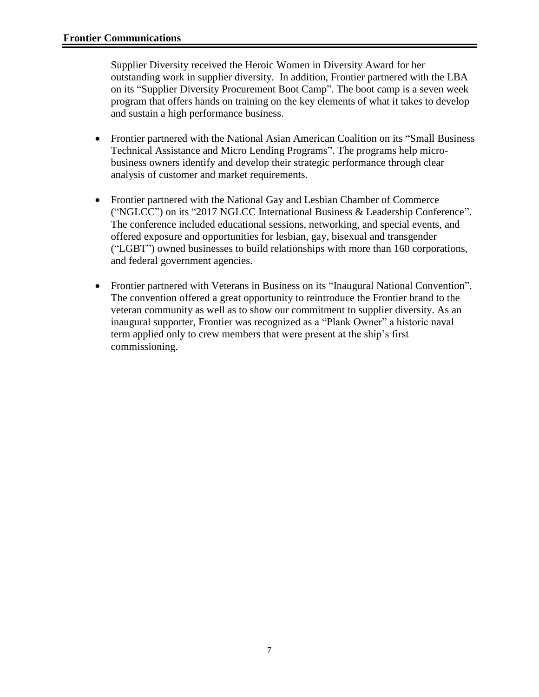Supplier Diversity received the Heroic Women in Diversity Award for her outstanding work in supplier diversity. In addition, Frontier partnered with the LBA on its "Supplier Diversity Procurement Boot Camp". The boot camp is a seven week program that offers hands on training on the key elements of what it takes to develop and sustain a high performance business.

- Frontier partnered with the National Asian American Coalition on its "Small Business Technical Assistance and Micro Lending Programs". The programs help microbusiness owners identify and develop their strategic performance through clear analysis of customer and market requirements.
- Frontier partnered with the National Gay and Lesbian Chamber of Commerce ("NGLCC") on its "2017 NGLCC International Business & Leadership Conference". The conference included educational sessions, networking, and special events, and offered exposure and opportunities for lesbian, gay, bisexual and transgender ("LGBT") owned businesses to build relationships with more than 160 corporations, and federal government agencies.
- Frontier partnered with Veterans in Business on its "Inaugural National Convention". The convention offered a great opportunity to reintroduce the Frontier brand to the veteran community as well as to show our commitment to supplier diversity. As an inaugural supporter, Frontier was recognized as a "Plank Owner" a historic naval term applied only to crew members that were present at the ship's first commissioning.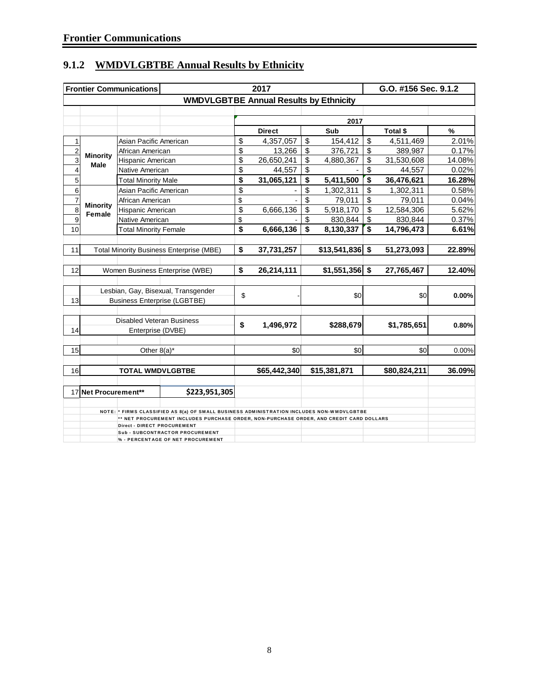|                                                       |                                  | <b>Frontier Communications</b>   | 2017                                                                                      |                                      |               |    |                  |    | G.O. #156 Sec. 9.1.2 |        |  |
|-------------------------------------------------------|----------------------------------|----------------------------------|-------------------------------------------------------------------------------------------|--------------------------------------|---------------|----|------------------|----|----------------------|--------|--|
|                                                       |                                  |                                  | <b>WMDVLGBTBE Annual Results by Ethnicity</b>                                             |                                      |               |    |                  |    |                      |        |  |
|                                                       |                                  |                                  |                                                                                           |                                      |               |    |                  |    |                      |        |  |
|                                                       |                                  |                                  |                                                                                           |                                      |               |    | 2017             |    |                      |        |  |
|                                                       |                                  |                                  |                                                                                           |                                      | <b>Direct</b> |    | Sub              |    | Total \$             | %      |  |
| 1                                                     |                                  | Asian Pacific American           |                                                                                           | \$                                   | 4,357,057     | \$ | 154,412          | \$ | 4,511,469            | 2.01%  |  |
| $\overline{2}$                                        |                                  |                                  | African American                                                                          |                                      | 13,266        | \$ | 376,721          | \$ | 389,987              | 0.17%  |  |
| 3                                                     | <b>Minority</b><br><b>Male</b>   | Hispanic American                |                                                                                           | \$                                   | 26,650,241    | \$ | 4,880,367        | \$ | 31,530,608           | 14.08% |  |
| $\overline{\mathbf{4}}$                               |                                  | Native American                  |                                                                                           | \$                                   | 44,557        | \$ |                  | \$ | 44,557               | 0.02%  |  |
| $\overline{5}$                                        |                                  | <b>Total Minority Male</b>       |                                                                                           | \$                                   | 31,065,121    | \$ | 5,411,500        | \$ | 36,476,621           | 16.28% |  |
| $\overline{6}$                                        |                                  | Asian Pacific American           |                                                                                           | \$                                   |               | \$ | 1,302,311        | \$ | 1,302,311            | 0.58%  |  |
| $\overline{7}$                                        |                                  | African American                 |                                                                                           | \$                                   |               | \$ | 79,011           | \$ | 79,011               | 0.04%  |  |
| $\overline{8}$                                        | <b>Minority</b><br><b>Female</b> | Hispanic American                |                                                                                           | \$                                   | 6,666,136     | \$ | 5,918,170        | \$ | 12,584,306           | 5.62%  |  |
| $\overline{9}$                                        |                                  | Native American                  |                                                                                           | \$                                   |               | \$ | 830,844          | \$ | 830,844              | 0.37%  |  |
| 10                                                    |                                  | <b>Total Minority Female</b>     |                                                                                           | $\overline{\boldsymbol{\mathsf{s}}}$ | 6,666,136     | \$ | 8,130,337        | \$ | 14,796,473           | 6.61%  |  |
|                                                       |                                  |                                  |                                                                                           |                                      |               |    |                  |    |                      |        |  |
| 11<br><b>Total Minority Business Enterprise (MBE)</b> |                                  |                                  |                                                                                           | \$                                   | 37,731,257    |    | $$13,541,836$ \$ |    | 51,273,093           | 22.89% |  |
|                                                       |                                  |                                  |                                                                                           |                                      |               |    |                  |    |                      |        |  |
| 12                                                    |                                  |                                  | Women Business Enterprise (WBE)                                                           | \$                                   | 26,214,111    |    | $$1,551,356$ \$  |    | 27,765,467           | 12.40% |  |
|                                                       |                                  |                                  |                                                                                           |                                      |               |    |                  |    |                      |        |  |
|                                                       |                                  |                                  | Lesbian, Gay, Bisexual, Transgender                                                       |                                      |               |    |                  |    |                      |        |  |
| 13                                                    |                                  |                                  | <b>Business Enterprise (LGBTBE)</b>                                                       | \$                                   |               |    | \$0              |    | \$0                  | 0.00%  |  |
|                                                       |                                  |                                  |                                                                                           |                                      |               |    |                  |    |                      |        |  |
|                                                       |                                  | <b>Disabled Veteran Business</b> |                                                                                           |                                      |               |    |                  |    |                      |        |  |
| 14                                                    |                                  | Enterprise (DVBE)                |                                                                                           | \$                                   | 1,496,972     |    | \$288,679        |    | \$1,785,651          | 0.80%  |  |
|                                                       |                                  |                                  |                                                                                           |                                      |               |    |                  |    |                      |        |  |
| 15                                                    |                                  | Other 8(a)*                      |                                                                                           |                                      | \$0           |    | \$0              |    | \$0                  | 0.00%  |  |
|                                                       |                                  |                                  |                                                                                           |                                      |               |    |                  |    |                      |        |  |
| 16                                                    |                                  | <b>TOTAL WMDVLGBTBE</b>          |                                                                                           |                                      | \$65,442,340  |    | \$15,381,871     |    | \$80,824,211         | 36.09% |  |
|                                                       |                                  |                                  |                                                                                           |                                      |               |    |                  |    |                      |        |  |
|                                                       | 17 Net Procurement**             |                                  | \$223,951,305                                                                             |                                      |               |    |                  |    |                      |        |  |
|                                                       |                                  |                                  |                                                                                           |                                      |               |    |                  |    |                      |        |  |
|                                                       |                                  |                                  | NOTE: * FIRMS CLASSIFIED AS 8(a) OF SMALL BUSINESS ADMINISTRATION INCLUDES NON-WMDVLGBTBE |                                      |               |    |                  |    |                      |        |  |
|                                                       |                                  |                                  | ** NET PROCUREMENT INCLUDES PURCHASE ORDER, NON-PURCHASE ORDER, AND CREDIT CARD DOLLARS   |                                      |               |    |                  |    |                      |        |  |
|                                                       |                                  | Direct - DIRECT PROCUREMENT      | <b>Sub - SUBCONTRACTOR PROCUREMENT</b>                                                    |                                      |               |    |                  |    |                      |        |  |
|                                                       |                                  |                                  | % - PERCENTAGE OF NET PROCUREMENT                                                         |                                      |               |    |                  |    |                      |        |  |

## **9.1.2 WMDVLGBTBE Annual Results by Ethnicity**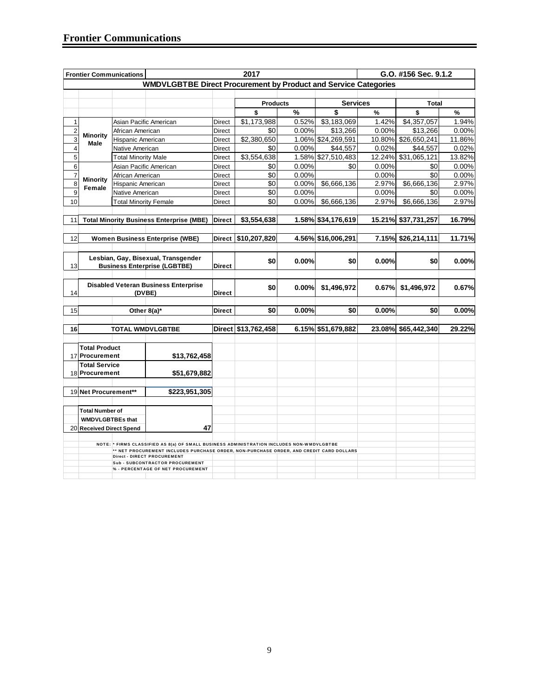| 2017<br>G.O. #156 Sec. 9.1.2<br><b>Frontier Communications</b> |                                      |                              |                                                                                                                        |               |                     |       |                    |        |                     |          |
|----------------------------------------------------------------|--------------------------------------|------------------------------|------------------------------------------------------------------------------------------------------------------------|---------------|---------------------|-------|--------------------|--------|---------------------|----------|
|                                                                |                                      |                              | <b>WMDVLGBTBE Direct Procurement by Product and Service Categories</b>                                                 |               |                     |       |                    |        |                     |          |
|                                                                |                                      |                              |                                                                                                                        |               |                     |       |                    |        |                     |          |
|                                                                |                                      |                              |                                                                                                                        |               | <b>Products</b>     |       | <b>Services</b>    |        | <b>Total</b>        |          |
|                                                                |                                      |                              |                                                                                                                        |               | \$                  | %     | \$                 | $\%$   | \$                  | %        |
| 1                                                              |                                      | Asian Pacific American       |                                                                                                                        | Direct        | \$1,173,988         | 0.52% | \$3,183,069        | 1.42%  | \$4,357,057         | 1.94%    |
| $\overline{\mathbf{c}}$                                        |                                      | African American             |                                                                                                                        | Direct        | \$0                 | 0.00% | \$13,266           | 0.00%  | \$13,266            | 0.00%    |
| 3                                                              | <b>Minority</b><br>Hispanic American |                              |                                                                                                                        | Direct        | \$2,380,650         | 1.06% | \$24,269,591       | 10.80% | \$26,650,241        | 11.86%   |
| $\overline{4}$                                                 | Male                                 | Native American              |                                                                                                                        | Direct        | \$0                 | 0.00% | \$44,557           | 0.02%  | \$44,557            | 0.02%    |
| $\sqrt{5}$                                                     |                                      | <b>Total Minority Male</b>   |                                                                                                                        | Direct        | \$3,554,638         |       | 1.58% \$27,510,483 | 12.24% | \$31,065,121        | 13.82%   |
| $\mathbf 6$                                                    |                                      | Asian Pacific American       |                                                                                                                        | Direct        | \$0                 | 0.00% | \$0                | 0.00%  | \$0                 | 0.00%    |
| $\overline{7}$                                                 |                                      | African American             |                                                                                                                        | Direct        | \$0                 | 0.00% |                    | 0.00%  | \$0                 | 0.00%    |
| $\overline{8}$                                                 | <b>Minority</b><br>Female            | Hispanic American            |                                                                                                                        | Direct        | \$0                 | 0.00% | \$6,666,136        | 2.97%  | \$6,666,136         | 2.97%    |
| 9                                                              |                                      | Native American              |                                                                                                                        | Direct        | \$0                 | 0.00% |                    | 0.00%  | \$0                 | 0.00%    |
| 10                                                             |                                      | <b>Total Minority Female</b> |                                                                                                                        | Direct        | \$0                 | 0.00% | \$6,666,136        | 2.97%  | \$6,666,136         | 2.97%    |
|                                                                |                                      |                              |                                                                                                                        |               |                     |       |                    |        |                     |          |
| 11                                                             |                                      |                              | <b>Total Minority Business Enterprise (MBE)</b>                                                                        | <b>Direct</b> | \$3,554,638         |       | 1.58% \$34,176,619 |        | 15.21% \$37,731,257 | 16.79%   |
|                                                                |                                      |                              |                                                                                                                        |               |                     |       |                    |        |                     |          |
| 12                                                             |                                      |                              | <b>Women Business Enterprise (WBE)</b>                                                                                 | <b>Direct</b> | \$10,207,820        |       | 4.56% \$16,006,291 |        | 7.15% \$26,214,111  | 11.71%   |
|                                                                |                                      |                              |                                                                                                                        |               |                     |       |                    |        |                     |          |
|                                                                |                                      |                              | Lesbian, Gay, Bisexual, Transgender                                                                                    |               |                     |       |                    |        |                     |          |
| 13                                                             |                                      |                              | <b>Business Enterprise (LGBTBE)</b>                                                                                    | <b>Direct</b> | \$0                 | 0.00% | \$0                | 0.00%  | \$0                 | $0.00\%$ |
|                                                                |                                      |                              |                                                                                                                        |               |                     |       |                    |        |                     |          |
|                                                                |                                      |                              | <b>Disabled Veteran Business Enterprise</b>                                                                            |               |                     |       |                    |        |                     |          |
| 14                                                             |                                      |                              | (DVBE)                                                                                                                 | <b>Direct</b> | \$0                 | 0.00% | \$1,496,972        | 0.67%  | \$1,496,972         | 0.67%    |
|                                                                |                                      |                              |                                                                                                                        |               |                     |       |                    |        |                     |          |
| 15                                                             |                                      |                              | Other 8(a)*                                                                                                            | <b>Direct</b> | \$0                 | 0.00% | \$0                | 0.00%  | \$0                 | 0.00%    |
|                                                                |                                      |                              |                                                                                                                        |               |                     |       |                    |        |                     |          |
| 16                                                             |                                      |                              | <b>TOTAL WMDVLGBTBE</b>                                                                                                |               | Direct \$13,762,458 |       | 6.15% \$51,679,882 |        | 23.08% \$65,442,340 | 29.22%   |
|                                                                |                                      |                              |                                                                                                                        |               |                     |       |                    |        |                     |          |
|                                                                | <b>Total Product</b>                 |                              |                                                                                                                        |               |                     |       |                    |        |                     |          |
|                                                                | 17 Procurement                       |                              | \$13,762,458                                                                                                           |               |                     |       |                    |        |                     |          |
|                                                                | <b>Total Service</b>                 |                              |                                                                                                                        |               |                     |       |                    |        |                     |          |
|                                                                | 18 Procurement                       |                              | \$51,679,882                                                                                                           |               |                     |       |                    |        |                     |          |
|                                                                |                                      |                              |                                                                                                                        |               |                     |       |                    |        |                     |          |
|                                                                | 19 Net Procurement**                 |                              | \$223,951,305                                                                                                          |               |                     |       |                    |        |                     |          |
|                                                                |                                      |                              |                                                                                                                        |               |                     |       |                    |        |                     |          |
|                                                                | <b>Total Number of</b>               |                              |                                                                                                                        |               |                     |       |                    |        |                     |          |
|                                                                | <b>WMDVLGBTBEs that</b>              |                              |                                                                                                                        |               |                     |       |                    |        |                     |          |
|                                                                | 20 Received Direct Spend             |                              | 47                                                                                                                     |               |                     |       |                    |        |                     |          |
|                                                                |                                      |                              |                                                                                                                        |               |                     |       |                    |        |                     |          |
|                                                                |                                      |                              | NOTE: * FIRMS CLASSIFIED AS 8(a) OF SMALL BUSINESS ADMINISTRATION INCLUDES NON-WMDVLGBTBE                              |               |                     |       |                    |        |                     |          |
|                                                                |                                      |                              | ** NET PROCUREMENT INCLUDES PURCHASE ORDER, NON-PURCHASE ORDER, AND CREDIT CARD DOLLARS<br>Direct - DIRECT PROCUREMENT |               |                     |       |                    |        |                     |          |
|                                                                |                                      |                              | <b>Sub - SUBCONTRACTOR PROCUREMENT</b>                                                                                 |               |                     |       |                    |        |                     |          |
|                                                                |                                      |                              | % - PERCENTAGE OF NET PROCUREMENT                                                                                      |               |                     |       |                    |        |                     |          |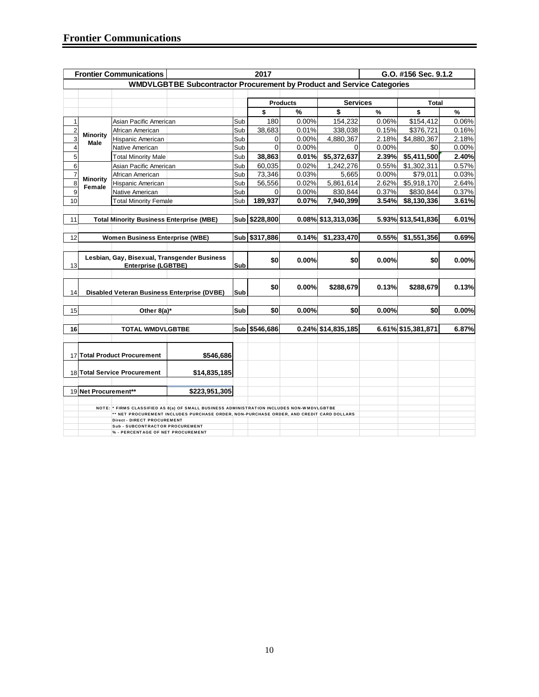|                         |                           | <b>Frontier Communications</b>                  |                                                                                           |     | 2017          |                 |                    |       | G.O. #156 Sec. 9.1.2 |       |
|-------------------------|---------------------------|-------------------------------------------------|-------------------------------------------------------------------------------------------|-----|---------------|-----------------|--------------------|-------|----------------------|-------|
|                         |                           |                                                 | WMDVLGBTBE Subcontractor Procurement by Product and Service Categories                    |     |               |                 |                    |       |                      |       |
|                         |                           |                                                 |                                                                                           |     |               |                 |                    |       |                      |       |
|                         |                           |                                                 |                                                                                           |     |               | <b>Products</b> | <b>Services</b>    |       | <b>Total</b>         |       |
|                         |                           |                                                 |                                                                                           |     | \$            | $\%$            | \$                 | $\%$  | \$                   | $\%$  |
| $\mathbf{1}$            |                           | Asian Pacific American                          |                                                                                           | Sub | 180           | 0.00%           | 154,232            | 0.06% | \$154,412            | 0.06% |
| $\overline{\mathbf{c}}$ | <b>Minority</b>           | African American                                |                                                                                           | Sub | 38,683        | 0.01%           | 338,038            | 0.15% | \$376,721            | 0.16% |
| 3                       | Male                      | Hispanic American                               |                                                                                           | Sub | 0             | 0.00%           | 4,880,367          | 2.18% | \$4,880,367          | 2.18% |
| 4                       |                           | Native American                                 |                                                                                           | Sub | $\mathbf 0$   | 0.00%           | 0                  | 0.00% | \$0                  | 0.00% |
| 5                       |                           | <b>Total Minority Male</b>                      |                                                                                           | Sub | 38,863        | 0.01%           | \$5,372,637        | 2.39% | \$5,411,500          | 2.40% |
| 6                       |                           | Asian Pacific American                          |                                                                                           | Sub | 60,035        | 0.02%           | 1,242,276          | 0.55% | \$1,302,311          | 0.57% |
| $\overline{7}$          |                           | African American                                |                                                                                           | Sub | 73,346        | 0.03%           | 5,665              | 0.00% | \$79,011             | 0.03% |
| 8                       | <b>Minority</b><br>Female | Hispanic American                               |                                                                                           | Sub | 56,556        | 0.02%           | 5,861,614          | 2.62% | \$5,918,170          | 2.64% |
| 9                       |                           | Native American                                 |                                                                                           | Sub | 0             | 0.00%           | 830,844            | 0.37% | \$830,844            | 0.37% |
| 10                      |                           | <b>Total Minority Female</b>                    |                                                                                           | Sub | 189,937       | 0.07%           | 7,940,399          | 3.54% | \$8,130,336          | 3.61% |
|                         |                           |                                                 |                                                                                           |     |               |                 |                    |       |                      |       |
| 11                      |                           | <b>Total Minority Business Enterprise (MBE)</b> |                                                                                           |     | Sub \$228,800 |                 | 0.08% \$13,313,036 |       | 5.93% \$13,541,836   | 6.01% |
|                         |                           |                                                 |                                                                                           |     |               |                 |                    |       |                      |       |
| 12                      |                           | <b>Women Business Enterprise (WBE)</b>          |                                                                                           |     | Sub \$317,886 | 0.14%           | \$1,233,470        | 0.55% | \$1,551,356          | 0.69% |
|                         |                           |                                                 |                                                                                           |     |               |                 |                    |       |                      |       |
|                         |                           |                                                 | Lesbian, Gay, Bisexual, Transgender Business                                              |     | \$0           | 0.00%           | \$0                | 0.00% | \$0                  | 0.00% |
| 13                      |                           | <b>Enterprise (LGBTBE)</b>                      |                                                                                           | Sub |               |                 |                    |       |                      |       |
|                         |                           |                                                 |                                                                                           |     |               |                 |                    |       |                      |       |
|                         |                           |                                                 |                                                                                           |     | \$0           | 0.00%           | \$288,679          | 0.13% | \$288,679            | 0.13% |
| 14                      |                           |                                                 | Disabled Veteran Business Enterprise (DVBE)                                               | Sub |               |                 |                    |       |                      |       |
|                         |                           |                                                 |                                                                                           |     |               |                 |                    |       |                      |       |
| 15                      |                           | Other 8(a)*                                     |                                                                                           | Sub | \$0           | 0.00%           | \$0                | 0.00% | \$0                  | 0.00% |
|                         |                           |                                                 |                                                                                           |     |               |                 |                    |       |                      |       |
| 16                      |                           | <b>TOTAL WMDVLGBTBE</b>                         |                                                                                           | Sub | \$546,686     |                 | 0.24% \$14,835,185 |       | 6.61% \$15,381,871   | 6.87% |
|                         |                           |                                                 |                                                                                           |     |               |                 |                    |       |                      |       |
|                         |                           |                                                 |                                                                                           |     |               |                 |                    |       |                      |       |
|                         |                           | 17 Total Product Procurement                    | \$546,686                                                                                 |     |               |                 |                    |       |                      |       |
|                         |                           |                                                 |                                                                                           |     |               |                 |                    |       |                      |       |
|                         |                           | 18 Total Service Procurement                    | \$14,835,185                                                                              |     |               |                 |                    |       |                      |       |
|                         |                           |                                                 |                                                                                           |     |               |                 |                    |       |                      |       |
|                         | 19 Net Procurement**      |                                                 | \$223,951,305                                                                             |     |               |                 |                    |       |                      |       |
|                         |                           |                                                 | NOTE: * FIRMS CLASSIFIED AS 8(a) OF SMALL BUSINESS ADMINISTRATION INCLUDES NON-WMDVLGBTBE |     |               |                 |                    |       |                      |       |
|                         |                           |                                                 | ** NET PROCUREMENT INCLUDES PURCHASE ORDER, NON-PURCHASE ORDER, AND CREDIT CARD DOLLARS   |     |               |                 |                    |       |                      |       |
|                         |                           | <b>Direct - DIRECT PROCUREMENT</b>              |                                                                                           |     |               |                 |                    |       |                      |       |
|                         |                           | <b>Sub - SUBCONTRACTOR PROCUREMENT</b>          |                                                                                           |     |               |                 |                    |       |                      |       |
|                         |                           | % - PERCENTAGE OF NET PROCUREMENT               |                                                                                           |     |               |                 |                    |       |                      |       |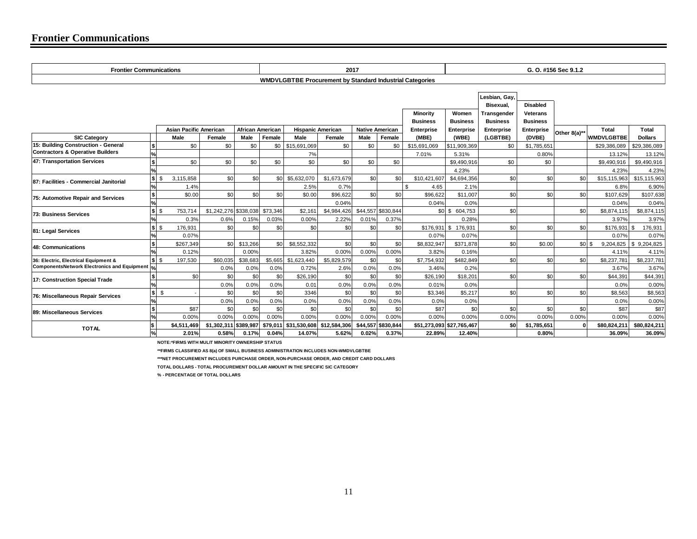#### **Frontier Communications**

| <b>Frontier Communications</b>                                                         |                          |                               |                       |                         |          |                                                                 | 2017                 |                        |                    |                           |                       | G. O. #156 Sec 9.1.2       |                   |              |                      |                      |
|----------------------------------------------------------------------------------------|--------------------------|-------------------------------|-----------------------|-------------------------|----------|-----------------------------------------------------------------|----------------------|------------------------|--------------------|---------------------------|-----------------------|----------------------------|-------------------|--------------|----------------------|----------------------|
|                                                                                        |                          |                               |                       |                         |          | <b>WMDVLGBTBE Procurement by Standard Industrial Categories</b> |                      |                        |                    |                           |                       |                            |                   |              |                      |                      |
|                                                                                        |                          |                               |                       |                         |          |                                                                 |                      |                        |                    |                           |                       |                            |                   |              |                      |                      |
|                                                                                        |                          |                               |                       |                         |          |                                                                 |                      |                        |                    |                           |                       | Lesbian. Gav.<br>Bisexual. | <b>Disabled</b>   |              |                      |                      |
|                                                                                        |                          |                               |                       |                         |          |                                                                 |                      |                        |                    | <b>Minority</b>           | Women                 | Transgender                | Veterans          |              |                      |                      |
|                                                                                        |                          |                               |                       |                         |          |                                                                 |                      |                        |                    | <b>Business</b>           | <b>Business</b>       | <b>Business</b>            | <b>Business</b>   |              |                      |                      |
|                                                                                        |                          | <b>Asian Pacific American</b> |                       | <b>African American</b> |          | <b>Hispanic American</b>                                        |                      | <b>Native American</b> |                    | <b>Enterprise</b>         | <b>Enterprise</b>     | Enterprise                 | <b>Enterprise</b> |              | Total                | Total                |
| <b>SIC Category</b>                                                                    |                          | Male                          | Female                | Male                    | Female   | Male                                                            | Female               | Male                   | Female             | (MBE)                     | (WBE)                 | (LGBTBE)                   | (DVBE)            | Other 8(a)** | <b>WMDVLGBTBE</b>    | <b>Dollars</b>       |
| 15: Building Construction - General                                                    | $\boldsymbol{s}$         | \$0                           | \$0                   | \$0                     | \$0      | \$15,691,069                                                    | \$0                  | \$0                    | \$0                | \$15,691,069              | \$11,909,369          | \$0                        | \$1,785,651       |              | \$29,386,089         | \$29,386,089         |
| <b>Contractors &amp; Operative Builders</b>                                            | $\frac{1}{2}$            |                               |                       |                         |          | 7%                                                              |                      |                        |                    | 7.01%                     | 5.31%                 |                            | 0.80%             |              | 13.12%               | 13.12%               |
| 47: Transportation Services                                                            | $\pmb{\mathsf{s}}$       | \$0                           | \$0                   | \$0                     | \$0      | \$0                                                             | \$0                  | \$0                    | \$0                |                           | \$9,490,916           | \$0                        | \$0               |              | \$9,490,916          | \$9,490,916          |
|                                                                                        | $\frac{1}{2}$            |                               |                       |                         |          |                                                                 |                      |                        |                    |                           | 4.23%                 |                            |                   |              | 4.23%                | 4.23%                |
| 87: Facilities - Commercial Janitorial                                                 | $\mathsf{s}$<br>\$       | 3,115,858                     | \$0                   | \$0                     | \$0      | \$5.632.070                                                     | \$1.673.679          | \$0                    | \$0                | \$10,421,607              | \$4,694,356           | \$0                        | \$0               | \$0          | \$15,115,963         | \$15,115,963         |
|                                                                                        | $\frac{9}{6}$            | 1.4%                          |                       |                         |          | 2.5%                                                            | 0.7%                 |                        |                    | \$<br>4.65                | 2.1%                  |                            |                   |              | 6.8%                 | 6.90%                |
| 75: Automotive Repair and Services                                                     | $\frac{1}{\%}$           | \$0.00                        | \$0                   | \$0                     | \$0      | \$0.00                                                          | \$96,622             | \$0                    | \$0                | \$96,622                  | \$11,007              | \$0                        | \$0               | \$0          | \$107,629            | \$107,638            |
|                                                                                        |                          |                               |                       |                         |          |                                                                 | 0.04%                |                        |                    | 0.04%                     | 0.0%                  |                            |                   |              | 0.04%                | 0.04%                |
| <b>73: Business Services</b>                                                           | $s$ s                    | 753,714                       | \$1,242,276 \$338,038 |                         | \$73,346 | \$2.161                                                         | \$4,984,426          |                        | \$44,557 \$830,844 |                           | \$0 \$ 604,753        | \$0                        |                   | \$0          | \$8,874,115          | \$8,874,115          |
|                                                                                        | $\frac{9}{6}$            | 0.3%                          | 0.6%                  | 0.15%                   | 0.03%    | 0.00%                                                           | 2.22%                | 0.01%                  | 0.37%              |                           | 0.28%                 |                            |                   |              | 3.97%                | 3.97%                |
| 81: Legal Services                                                                     | $s$ s                    | 176.931                       | \$0                   | \$0                     | \$0      | \$0                                                             | \$0                  | \$0                    | \$0                |                           | $$176,931$ \$ 176,931 | \$0                        | \$0               | \$0          | \$176,931            | 176,931<br>- \$      |
|                                                                                        | %                        | 0.07%                         |                       |                         |          |                                                                 |                      |                        |                    | 0.07%                     | 0.07%                 |                            |                   |              | 0.07%                | 0.07%                |
| <b>48: Communications</b>                                                              | $\overline{\mathbf{s}}$  | \$267.349                     | \$0                   | \$13,266                | \$0      | \$8.552.332                                                     | \$0                  | \$0                    | \$0                | \$8,832,947               | \$371,878             | \$0                        | \$0.00            | $s$ ol $s$   | 9,204,825            | \$9,204,825          |
|                                                                                        | ls is                    | 0.12%<br>197.530              | \$60.035              | 0.00%<br>\$38,683       |          | 3.82%<br>\$5.665 \$1.623.440                                    | 0.00%<br>\$5.829.579 | 0.00%<br>\$0           | 0.00%<br>\$0       | 3.82%                     | 0.16%<br>\$482,849    | \$0                        | \$0               | \$0          | 4.11%<br>\$8,237,781 | 4.11%<br>\$8,237,781 |
| 36: Electric, Electrical Equipment &<br>ComponentsNetwork Electronics and Equipment  % |                          |                               | 0.0%                  | 0.0%                    | 0.0%     | 0.72%                                                           | 2.6%                 | 0.0%                   | 0.0%               | \$7,754,932<br>3.46%      | 0.2%                  |                            |                   |              | 3.67%                | 3.67%                |
|                                                                                        | \$                       | \$0                           | \$0                   | \$0                     | \$0      | \$26,190                                                        | \$0                  | \$0                    | \$0                | \$26,190                  | \$18,201              | \$0                        | \$0               | \$0          | \$44,391             | \$44,391             |
| 17: Construction Special Trade                                                         | ℅                        |                               | 0.0%                  | 0.0%                    | 0.0%     | 0.01                                                            | 0.0%                 | 0.0%                   | 0.0%               | 0.01%                     | 0.0%                  |                            |                   |              | 0.0%                 | 0.00%                |
|                                                                                        | $\pmb{\mathsf{s}}$<br>\$ |                               | \$0                   | \$0                     | \$0      | 3346                                                            | \$0                  | \$0                    | \$0                | \$3,346                   | \$5,217               | \$0                        | \$0               | \$0          | \$8.563              | \$8,563              |
| 76: Miscellaneous Repair Services                                                      | $\frac{9}{6}$            |                               | 0.0%                  | 0.0%                    | 0.0%     | 0.0%                                                            | 0.0%                 | 0.0%                   | 0.0%               | 0.0%                      | 0.0%                  |                            |                   |              | 0.0%                 | 0.00%                |
|                                                                                        | l\$                      | \$87                          | \$0                   | \$0                     | \$0      | \$0                                                             | \$0                  | \$0                    | \$0                | \$87                      | \$0                   | \$0                        | \$0               | \$0          | \$87                 | \$87                 |
| 89: Miscellaneous Services                                                             | $\frac{9}{6}$            | 0.00%                         | 0.00%                 | 0.00%                   | 0.00%    | 0.00%                                                           | 0.00%                | 0.00%                  | 0.00%              | 0.00%                     | 0.00%                 | 0.00%                      | 0.00%             | 0.00%        | 0.00%                | 0.00%                |
| <b>TOTAL</b>                                                                           | l\$                      | \$4,511,469                   | \$1.302.311           | \$389.987               | \$79.011 | \$31.530.608  \$12.584.306                                      |                      |                        | \$44,557 \$830,844 | \$51,273,093 \$27,765,467 |                       | \$O                        | \$1,785,651       | n            | \$80,824,211         | \$80,824,211         |
|                                                                                        | $\frac{1}{2}$            | 2.01%                         | 0.58%                 | 0.17%                   | 0.04%    | 14.07%                                                          | 5.62%                | 0.02%                  | 0.37%              | 22.89%                    | 12.40%                |                            | 0.80%             |              | 36.09%               | 36.09%               |

**NOTE:\*FIRMS WITH MULIT MINORITY OWNERSHIP STATUS**

**\*\*FIRMS CLASSIFIED AS 8(a) OF SMALL BUSINESS ADMINISTRATION INCLUDES NON-WMDVLGBTBE**

**\*\*\*NET PROCUREMENT INCLUDES PURCHASE ORDER, NON-PURCHASE ORDER, AND CREDIT CARD DOLLARS**

**TOTAL DOLLARS - TOTAL PROCUREMENT DOLLAR AMOUNT IN THE SPECIFIC SIC CATEGORY** 

**% - PERCENTAGE OF TOTAL DOLLARS**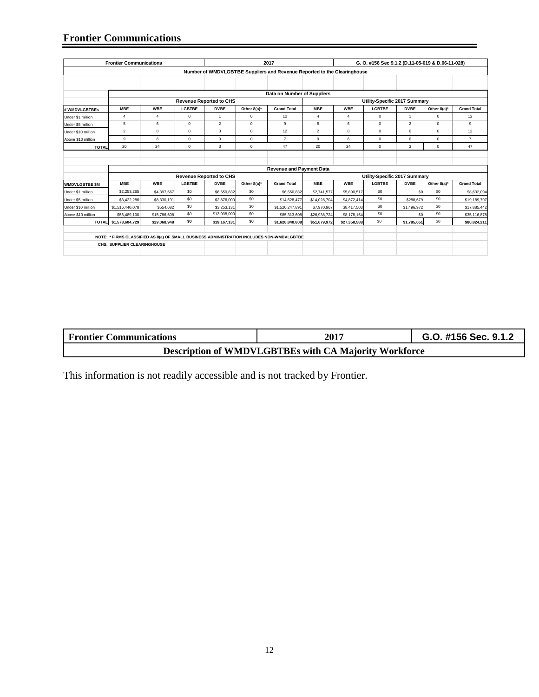## **Frontier Communications**

|                       | <b>Frontier Communications</b>     |                |               |                                |             | 2017                                                                                      |                |                | G. O. #156 Sec 9.1.2 (D.11-05-019 & D.06-11-028) |                |              |                    |
|-----------------------|------------------------------------|----------------|---------------|--------------------------------|-------------|-------------------------------------------------------------------------------------------|----------------|----------------|--------------------------------------------------|----------------|--------------|--------------------|
|                       |                                    |                |               |                                |             | Number of WMDVLGBTBE Suppliers and Revenue Reported to the Clearinghouse                  |                |                |                                                  |                |              |                    |
|                       |                                    |                |               |                                |             |                                                                                           |                |                |                                                  |                |              |                    |
|                       |                                    |                |               |                                |             |                                                                                           |                |                |                                                  |                |              |                    |
|                       |                                    |                |               |                                |             | Data on Number of Suppliers                                                               |                |                |                                                  |                |              |                    |
|                       |                                    |                |               | <b>Revenue Reported to CHS</b> |             |                                                                                           |                |                | Utility-Specific 2017 Summary                    |                |              |                    |
| # WMDVLGBTBEs         | <b>MBE</b>                         | <b>WBE</b>     | <b>LGBTBE</b> | <b>DVBE</b>                    | Other 8(a)* | <b>Grand Total</b>                                                                        | <b>MBE</b>     | <b>WBE</b>     | <b>LGBTBE</b>                                    | <b>DVBE</b>    | Other 8(a)*  | <b>Grand Total</b> |
| Under \$1 million     | 4                                  | $\overline{4}$ | $\mathbf 0$   | $\mathbf{1}$                   | $\mathbf 0$ | 12                                                                                        | $\overline{4}$ | $\overline{4}$ | $\mathbf 0$                                      | 1              | 0            | 12                 |
| Under \$5 million     | 5                                  | 6              | $\mathbf 0$   | $\mathcal{P}$                  | $\Omega$    | 9                                                                                         | 5              | 6              | $\Omega$                                         | $\overline{2}$ | $\Omega$     | 9                  |
| Under \$10 million    | $\overline{2}$                     | 8              | $\mathbf 0$   | $\mathbf 0$                    | $\mathbf 0$ | 12                                                                                        | $\overline{2}$ | 8              | $\mathbf 0$                                      | $\mathbf 0$    | 0            | 12                 |
| Above \$10 million    | $\overline{9}$                     | 6              | $\mathbf 0$   | $\mathbf 0$                    | $\mathbf 0$ | $\overline{7}$                                                                            | 9              | 6              | $\mathbf 0$                                      | $\mathbf 0$    | $\mathbf{0}$ | $\overline{7}$     |
| <b>TOTAL</b>          | 20                                 | 24             | $\mathbf 0$   | 3                              | $\mathbf 0$ | 47                                                                                        | 20             | 24             | $\mathbf 0$                                      | 3              | $\mathbf{0}$ | 47                 |
|                       |                                    |                |               |                                |             |                                                                                           |                |                |                                                  |                |              |                    |
|                       |                                    |                |               |                                |             |                                                                                           |                |                |                                                  |                |              |                    |
|                       |                                    |                |               |                                |             | <b>Revenue and Payment Data</b>                                                           |                |                |                                                  |                |              |                    |
|                       |                                    |                |               | <b>Revenue Reported to CHS</b> |             |                                                                                           |                |                | Utility-Specific 2017 Summary                    |                |              |                    |
| <b>WMDVLGBTBE \$M</b> | <b>MBE</b>                         | <b>WBE</b>     | <b>LGBTBE</b> | <b>DVBE</b>                    | Other 8(a)* | <b>Grand Total</b>                                                                        | <b>MBE</b>     | <b>WBE</b>     | <b>LGBTBE</b>                                    | <b>DVBE</b>    | Other 8(a)*  | <b>Grand Total</b> |
| Under \$1 million     | \$2,253,265                        | \$4,397,567    | \$0           | \$6,650,832                    | \$0         | \$6,650,832                                                                               | \$2,741,577    | \$5,890,517    | \$0                                              | SO             | \$0          | \$8,632,094        |
| Under \$5 million     | \$3,422,286                        | \$8,330,191    | \$0           | \$2,876,000                    | \$0         | \$14,628,477                                                                              | \$14,028,704   | \$4,872,414    | S <sub>0</sub>                                   | \$288.679      | \$0          | \$19,189,797       |
| Under \$10 million    | \$1,516,440,078                    | \$554,682      | \$0           | \$3,253,131                    | \$0         | \$1,520,247,891                                                                           | \$7,970,967    | \$8,417,503    | \$0                                              | \$1,496,972    | \$0          | \$17,885,442       |
| Above \$10 million    | \$56,489,100                       | \$15,786,508   | \$0           | \$13,038,000                   | \$0         | \$85,313,608                                                                              | \$26,938,724   | \$8,178,154    | \$0                                              | \$0            | \$0          | \$35,116,878       |
|                       | TOTAL \$1,578,604,729              | \$29.068.948   | \$0           | \$19,167,131                   | \$0         | \$1,626,840,808                                                                           | \$51.679.972   | \$27.358.588   | \$0                                              | \$1,785,651    | \$0          | \$80,824.211       |
|                       |                                    |                |               |                                |             |                                                                                           |                |                |                                                  |                |              |                    |
|                       |                                    |                |               |                                |             | NOTE: * FIRMS CLASSIFIED AS 8(a) OF SMALL BUSINESS ADMINISTRATION INCLUDES NON-WMDVLGBTBE |                |                |                                                  |                |              |                    |
|                       | <b>CHS: SUPPLIER CLEARINGHOUSE</b> |                |               |                                |             |                                                                                           |                |                |                                                  |                |              |                    |
|                       |                                    |                |               |                                |             |                                                                                           |                |                |                                                  |                |              |                    |

| <b>Frontier Communications</b> | 2017                                                         | G.O. #156 Sec. 9.1.2 |
|--------------------------------|--------------------------------------------------------------|----------------------|
|                                | <b>Description of WMDVLGBTBEs with CA Majority Workforce</b> |                      |

This information is not readily accessible and is not tracked by Frontier.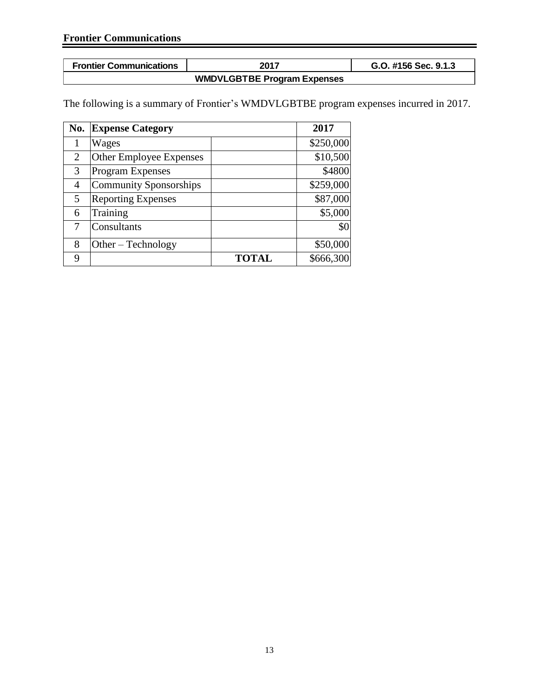| <b>Frontier Communications</b> | 2017                               | G.O. #156 Sec. 9.1.3 |
|--------------------------------|------------------------------------|----------------------|
|                                | <b>WMDVLGBTBE Program Expenses</b> |                      |

The following is a summary of Frontier's WMDVLGBTBE program expenses incurred in 2017.

| No.            | <b>Expense Category</b>       |              | 2017      |
|----------------|-------------------------------|--------------|-----------|
|                | Wages                         |              | \$250,000 |
| $\overline{2}$ | Other Employee Expenses       |              | \$10,500  |
| 3              | <b>Program Expenses</b>       |              | \$4800    |
| 4              | <b>Community Sponsorships</b> |              | \$259,000 |
| 5              | <b>Reporting Expenses</b>     |              | \$87,000  |
| 6              | Training                      |              | \$5,000   |
|                | Consultants                   |              | \$0       |
| 8              | $Other-Technology$            |              | \$50,000  |
| 9              |                               | <b>TOTAL</b> | \$666,300 |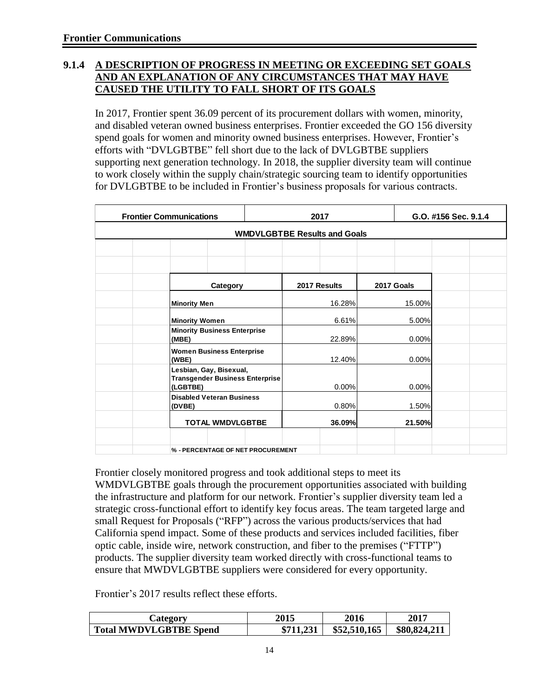### **9.1.4 A DESCRIPTION OF PROGRESS IN MEETING OR EXCEEDING SET GOALS AND AN EXPLANATION OF ANY CIRCUMSTANCES THAT MAY HAVE CAUSED THE UTILITY TO FALL SHORT OF ITS GOALS**

In 2017, Frontier spent 36.09 percent of its procurement dollars with women, minority, and disabled veteran owned business enterprises. Frontier exceeded the GO 156 diversity spend goals for women and minority owned business enterprises. However, Frontier's efforts with "DVLGBTBE" fell short due to the lack of DVLGBTBE suppliers supporting next generation technology. In 2018, the supplier diversity team will continue to work closely within the supply chain/strategic sourcing team to identify opportunities for DVLGBTBE to be included in Frontier's business proposals for various contracts.

| <b>Frontier Communications</b>                                                | 2017                                | G.O. #156 Sec. 9.1.4 |  |  |  |  |  |  |  |  |  |
|-------------------------------------------------------------------------------|-------------------------------------|----------------------|--|--|--|--|--|--|--|--|--|
|                                                                               | <b>WMDVLGBTBE Results and Goals</b> |                      |  |  |  |  |  |  |  |  |  |
|                                                                               |                                     |                      |  |  |  |  |  |  |  |  |  |
|                                                                               |                                     |                      |  |  |  |  |  |  |  |  |  |
| Category                                                                      | 2017 Results                        | 2017 Goals           |  |  |  |  |  |  |  |  |  |
| <b>Minority Men</b>                                                           | 16.28%                              | 15.00%               |  |  |  |  |  |  |  |  |  |
| <b>Minority Women</b>                                                         | 6.61%                               | 5.00%                |  |  |  |  |  |  |  |  |  |
| <b>Minority Business Enterprise</b><br>(MBE)                                  | 22.89%                              | 0.00%                |  |  |  |  |  |  |  |  |  |
| <b>Women Business Enterprise</b><br>(WBE)                                     | 12.40%                              | 0.00%                |  |  |  |  |  |  |  |  |  |
| Lesbian, Gay, Bisexual,<br><b>Transgender Business Enterprise</b><br>(LGBTBE) | 0.00%                               | 0.00%                |  |  |  |  |  |  |  |  |  |
| <b>Disabled Veteran Business</b><br>(DVBE)                                    | 0.80%                               | 1.50%                |  |  |  |  |  |  |  |  |  |
| <b>TOTAL WMDVLGBTBE</b>                                                       | <b>36.09%</b>                       | 21.50%               |  |  |  |  |  |  |  |  |  |
| % - PERCENTAGE OF NET PROCUREMENT                                             |                                     |                      |  |  |  |  |  |  |  |  |  |

Frontier closely monitored progress and took additional steps to meet its WMDVLGBTBE goals through the procurement opportunities associated with building the infrastructure and platform for our network. Frontier's supplier diversity team led a strategic cross-functional effort to identify key focus areas. The team targeted large and small Request for Proposals ("RFP") across the various products/services that had California spend impact. Some of these products and services included facilities, fiber optic cable, inside wire, network construction, and fiber to the premises ("FTTP") products. The supplier diversity team worked directly with cross-functional teams to ensure that MWDVLGBTBE suppliers were considered for every opportunity.

Frontier's 2017 results reflect these efforts.

| Category                      | 2015      | 2016         | 2017         |
|-------------------------------|-----------|--------------|--------------|
| <b>Total MWDVLGBTBE Spend</b> | \$711,231 | \$52,510,165 | \$80,824,211 |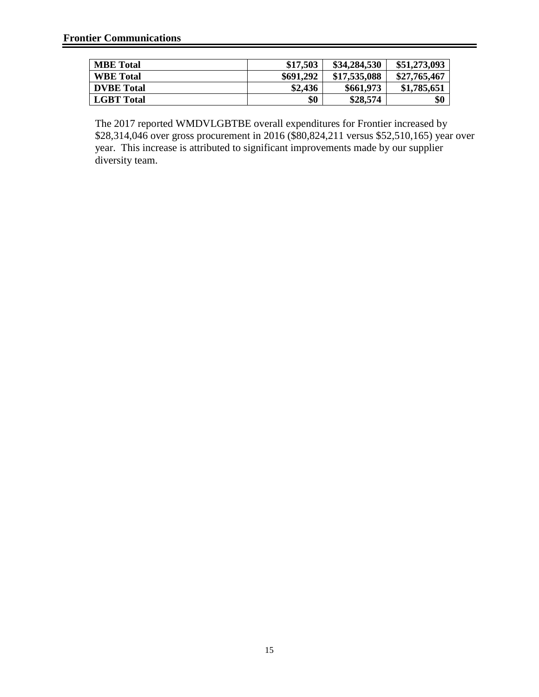| <b>MBE</b> Total  | \$17,503  | \$34,284,530 | \$51,273,093 |
|-------------------|-----------|--------------|--------------|
| <b>WBE</b> Total  | \$691,292 | \$17,535,088 | \$27,765,467 |
| <b>DVBE</b> Total | \$2,436   | \$661,973    | \$1,785,651  |
| <b>LGBT</b> Total | \$0       | \$28,574     | \$0          |

The 2017 reported WMDVLGBTBE overall expenditures for Frontier increased by \$28,314,046 over gross procurement in 2016 (\$80,824,211 versus \$52,510,165) year over year. This increase is attributed to significant improvements made by our supplier diversity team.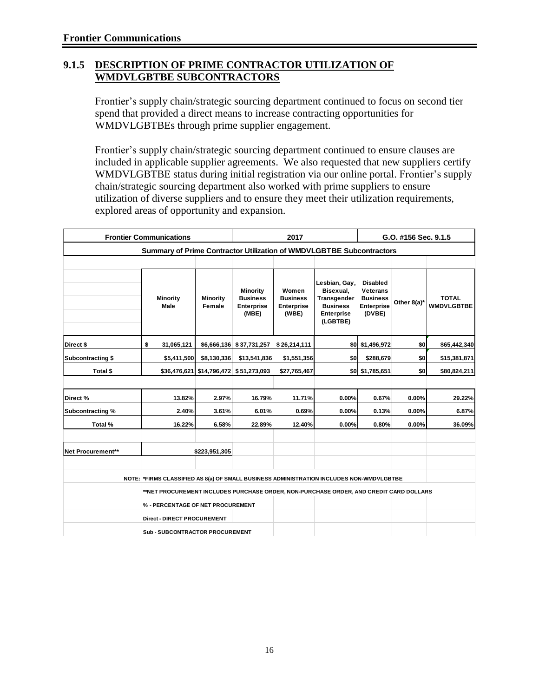#### **9.1.5 DESCRIPTION OF PRIME CONTRACTOR UTILIZATION OF WMDVLGBTBE SUBCONTRACTORS**

Frontier's supply chain/strategic sourcing department continued to focus on second tier spend that provided a direct means to increase contracting opportunities for WMDVLGBTBEs through prime supplier engagement.

Frontier's supply chain/strategic sourcing department continued to ensure clauses are included in applicable supplier agreements. We also requested that new suppliers certify WMDVLGBTBE status during initial registration via our online portal. Frontier's supply chain/strategic sourcing department also worked with prime suppliers to ensure utilization of diverse suppliers and to ensure they meet their utilization requirements, explored areas of opportunity and expansion.

| <b>Frontier Communications</b> |                                                                                          | 2017                      |                                                                  | G.O. #156 Sec. 9.1.5                                   |                                                                                               |                                                                                      |             |                                   |  |  |
|--------------------------------|------------------------------------------------------------------------------------------|---------------------------|------------------------------------------------------------------|--------------------------------------------------------|-----------------------------------------------------------------------------------------------|--------------------------------------------------------------------------------------|-------------|-----------------------------------|--|--|
|                                | Summary of Prime Contractor Utilization of WMDVLGBTBE Subcontractors                     |                           |                                                                  |                                                        |                                                                                               |                                                                                      |             |                                   |  |  |
|                                |                                                                                          |                           |                                                                  |                                                        |                                                                                               |                                                                                      |             |                                   |  |  |
|                                | <b>Minority</b><br>Male                                                                  | <b>Minority</b><br>Female | <b>Minority</b><br><b>Business</b><br><b>Enterprise</b><br>(MBE) | Women<br><b>Business</b><br><b>Enterprise</b><br>(WBE) | Lesbian, Gay,<br>Bisexual,<br>Transgender<br><b>Business</b><br><b>Enterprise</b><br>(LGBTBE) | <b>Disabled</b><br><b>Veterans</b><br><b>Business</b><br><b>Enterprise</b><br>(DVBE) | Other 8(a)* | <b>TOTAL</b><br><b>WMDVLGBTBE</b> |  |  |
| Direct \$                      | \$<br>31,065,121                                                                         |                           | \$6,666,136 \$37,731,257                                         | \$26,214,111                                           |                                                                                               | \$0 \$1,496,972                                                                      | \$0         | \$65,442,340                      |  |  |
| <b>Subcontracting \$</b>       | \$5,411,500                                                                              | \$8,130,336               | \$13,541,836                                                     | \$0<br>\$1,551,356                                     |                                                                                               | \$288,679                                                                            | \$0         | \$15,381,871                      |  |  |
| Total \$                       |                                                                                          |                           | \$36,476,621 \$14,796,472 \$51,273,093                           | \$27,765,467                                           |                                                                                               | \$0 \$1,785,651                                                                      | \$0         | \$80,824,211                      |  |  |
|                                |                                                                                          |                           |                                                                  |                                                        |                                                                                               |                                                                                      |             |                                   |  |  |
| Direct%                        | 13.82%                                                                                   | 2.97%                     | 16.79%                                                           | 11.71%                                                 | 0.00%                                                                                         | 0.67%                                                                                | 0.00%       | 29.22%                            |  |  |
| Subcontracting %               | 2.40%                                                                                    | 3.61%                     | 6.01%                                                            | 0.69%                                                  | 0.00%                                                                                         | 0.13%                                                                                | 0.00%       | 6.87%                             |  |  |
| Total %                        | 16.22%                                                                                   | 6.58%                     | 22.89%                                                           | 12.40%                                                 | 0.00%                                                                                         | 0.80%                                                                                | 0.00%       | 36.09%                            |  |  |
| Net Procurement**              |                                                                                          | \$223,951,305             |                                                                  |                                                        |                                                                                               |                                                                                      |             |                                   |  |  |
|                                | NOTE: *FIRMS CLASSIFIED AS 8(a) OF SMALL BUSINESS ADMINISTRATION INCLUDES NON-WMDVLGBTBE |                           |                                                                  |                                                        |                                                                                               |                                                                                      |             |                                   |  |  |
|                                | **NET PROCUREMENT INCLUDES PURCHASE ORDER, NON-PURCHASE ORDER, AND CREDIT CARD DOLLARS   |                           |                                                                  |                                                        |                                                                                               |                                                                                      |             |                                   |  |  |
|                                | % - PERCENTAGE OF NET PROCUREMENT                                                        |                           |                                                                  |                                                        |                                                                                               |                                                                                      |             |                                   |  |  |
|                                | <b>Direct - DIRECT PROCUREMENT</b>                                                       |                           |                                                                  |                                                        |                                                                                               |                                                                                      |             |                                   |  |  |
|                                | <b>Sub-SUBCONTRACTOR PROCUREMENT</b>                                                     |                           |                                                                  |                                                        |                                                                                               |                                                                                      |             |                                   |  |  |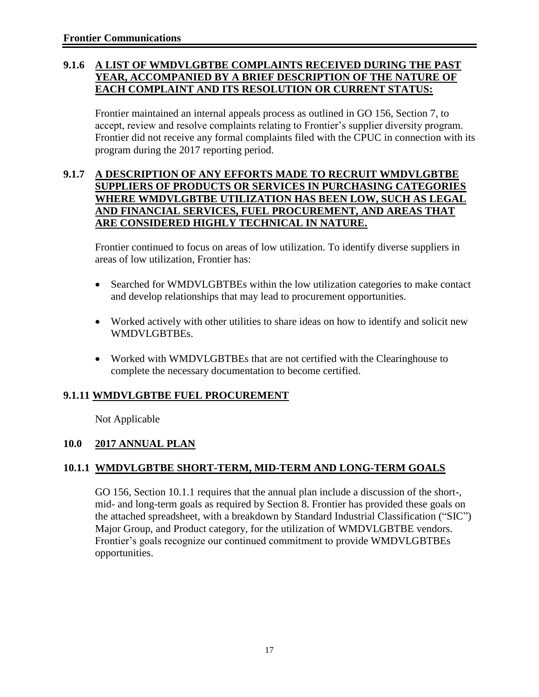### **9.1.6 A LIST OF WMDVLGBTBE COMPLAINTS RECEIVED DURING THE PAST YEAR, ACCOMPANIED BY A BRIEF DESCRIPTION OF THE NATURE OF EACH COMPLAINT AND ITS RESOLUTION OR CURRENT STATUS:**

Frontier maintained an internal appeals process as outlined in GO 156, Section 7, to accept, review and resolve complaints relating to Frontier's supplier diversity program. Frontier did not receive any formal complaints filed with the CPUC in connection with its program during the 2017 reporting period.

#### **9.1.7 A DESCRIPTION OF ANY EFFORTS MADE TO RECRUIT WMDVLGBTBE SUPPLIERS OF PRODUCTS OR SERVICES IN PURCHASING CATEGORIES WHERE WMDVLGBTBE UTILIZATION HAS BEEN LOW, SUCH AS LEGAL AND FINANCIAL SERVICES, FUEL PROCUREMENT, AND AREAS THAT ARE CONSIDERED HIGHLY TECHNICAL IN NATURE.**

Frontier continued to focus on areas of low utilization. To identify diverse suppliers in areas of low utilization, Frontier has:

- Searched for WMDVLGBTBEs within the low utilization categories to make contact and develop relationships that may lead to procurement opportunities.
- Worked actively with other utilities to share ideas on how to identify and solicit new WMDVLGBTBEs.
- Worked with WMDVLGBTBEs that are not certified with the Clearinghouse to complete the necessary documentation to become certified.

### **9.1.11 WMDVLGBTBE FUEL PROCUREMENT**

Not Applicable

### **10.0 2017 ANNUAL PLAN**

### **10.1.1 WMDVLGBTBE SHORT-TERM, MID-TERM AND LONG-TERM GOALS**

GO 156, Section 10.1.1 requires that the annual plan include a discussion of the short-, mid- and long-term goals as required by Section 8. Frontier has provided these goals on the attached spreadsheet, with a breakdown by Standard Industrial Classification ("SIC") Major Group, and Product category, for the utilization of WMDVLGBTBE vendors. Frontier's goals recognize our continued commitment to provide WMDVLGBTBEs opportunities.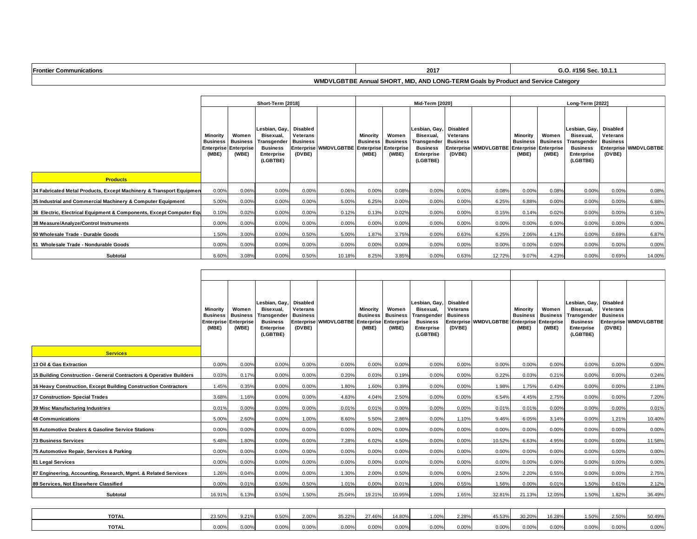| <b>Frontier</b><br><b><sup>⊸</sup>cations</b><br>ուտա | 2017<br>-- | . 10. |
|-------------------------------------------------------|------------|-------|
|                                                       |            |       |

#### **WMDVLGBTBE Annual SHORT, MID, AND LONG-TERM Goals by Product and Service Category**

|                                                                     | Short-Term [2018]                                                    |                                   |                                                                                        |                                                   |                                  |                                      | Mid-Term [2020]                                 |                                                                                        |                                                   |                       |                                               |                                                | Long-Term [2022]                                                                              |                                                   |                       |  |  |
|---------------------------------------------------------------------|----------------------------------------------------------------------|-----------------------------------|----------------------------------------------------------------------------------------|---------------------------------------------------|----------------------------------|--------------------------------------|-------------------------------------------------|----------------------------------------------------------------------------------------|---------------------------------------------------|-----------------------|-----------------------------------------------|------------------------------------------------|-----------------------------------------------------------------------------------------------|---------------------------------------------------|-----------------------|--|--|
|                                                                     | Minority<br><b>Business</b><br><b>Enterprise Enterprise</b><br>(MBE) | Women<br><b>Business</b><br>(WBE) | Lesbian, Gay,<br>Bisexual,<br>Transgender<br><b>Business</b><br>Enterprise<br>(LGBTBE) | Disabled<br>Veterans<br><b>Business</b><br>(DVBE) | Enterprise WMDVLGBTBE Enterprise | Minority<br><b>Business</b><br>(MBE) | Women<br><b>Business</b><br>Enterprise<br>(WBE) | Lesbian, Gay,<br>Bisexual.<br>Transgender<br><b>Business</b><br>Enterprise<br>(LGBTBE) | Disabled<br>Veterans<br><b>Business</b><br>(DVBE) | Enterprise WMDVLGBTBE | Minority<br><b>Business Business</b><br>(MBE) | Women<br><b>Enterprise Enterprise</b><br>(WBE) | Lesbian, Gay,<br>Bisexual.<br><b>Transgender</b><br><b>Business</b><br>Enterprise<br>(LGBTBE) | Disabled<br>Veterans<br><b>Business</b><br>(DVBE) | Enterprise WMDVLGBTBE |  |  |
| <b>Products</b>                                                     |                                                                      |                                   |                                                                                        |                                                   |                                  |                                      |                                                 |                                                                                        |                                                   |                       |                                               |                                                |                                                                                               |                                                   |                       |  |  |
| 34 Fabricated Metal Products, Except Machinery & Transport Equipmen | 0.00%                                                                | 0.06%                             | 0.00%                                                                                  | 0.00%                                             | 0.06%                            | 0.00%                                | 0.08%                                           | 0.00%                                                                                  | 0.00%                                             | 0.08%                 | 0.00%                                         | 0.08%                                          | 0.00%                                                                                         | 0.00%                                             | 0.08%                 |  |  |
| 35 Industrial and Commercial Machinery & Computer Equipment         | 5.00%                                                                | 0.00%                             | 0.00%                                                                                  | 0.00%                                             | 5.00%                            | 6.25%                                | 0.00%                                           | 0.00%                                                                                  | 0.00%                                             | 6.25%                 | 6.88%                                         | 0.00%                                          | 0.00%                                                                                         | 0.00%                                             | 6.88%                 |  |  |
| 36 Electric, Electrical Equipment & Components, Except Computer Equ | 0.10%                                                                | 0.02%                             | 0.00%                                                                                  | 0.00%                                             | 0.12%                            | 0.13%                                | 0.02%                                           | 0.00%                                                                                  | 0.00%                                             | 0.15%                 | 0.14%                                         | 0.02%                                          | 0.00%                                                                                         | 0.00%                                             | 0.16%                 |  |  |
| 38 Measure/Analyze/Control Instruments                              | 0.00%                                                                | 0.00%                             | 0.00%                                                                                  | 0.00%                                             | 0.00%                            | 0.00%                                | 0.00%                                           | 0.00%                                                                                  | 0.00%                                             | 0.00%                 | 0.00%                                         | 0.00%                                          | 0.00%                                                                                         | 0.00%                                             | 0.00%                 |  |  |
| 50 Wholesale Trade - Durable Goods                                  | 1.50%                                                                | 3.00%                             | 0.00%                                                                                  | 0.50%                                             | 5.00%                            | 1.87%                                | 3.75%                                           | 0.00%                                                                                  | 0.63%                                             | 6.25%                 | 2.06%                                         | 4.13%                                          | 0.00%                                                                                         | 0.69%                                             | 6.87%                 |  |  |
| 51 Wholesale Trade - Nondurable Goods                               | 0.00%                                                                | 0.00%                             | 0.00%                                                                                  | 0.00%                                             | 0.00%                            | 0.00%                                | 0.00%                                           | 0.00%                                                                                  | 0.00%                                             | 0.00%                 | 0.00%                                         | 0.00%                                          | 0.00%                                                                                         | 0.00%                                             | 0.00%                 |  |  |
| Subtotal                                                            | 6.60%                                                                | 3.08%                             | 0.00%                                                                                  | 0.50%                                             | 10.18%                           | 8.25%                                | 3.85%                                           | 0.00%                                                                                  | 0.63%                                             | 12.72%                | 9.07%                                         | 4.23%                                          | 0.00%                                                                                         | 0.69%                                             | 14.00%                |  |  |

| <b>Services</b>                                                     | Minority<br><b>Business</b><br><b>Enterprise</b><br>(MBE) | Women<br><b>Business</b><br><b>Enterprise</b><br>(WBE) | Lesbian, Gav.<br>Bisexual.<br>Transgender<br><b>Business</b><br><b>Enterprise</b><br>(LGBTBE) | <b>Disabled</b><br>Veterans<br><b>Business</b><br>(DVBE) | Enterprise WMDVLGBTBE | Minority<br><b>Business</b><br><b>Enterprise</b><br>(MBE) | Women<br><b>Business</b><br><b>Enterprise</b><br>(WBE) | Lesbian. Gav<br>Bisexual,<br>Transgender<br><b>Business</b><br><b>Enterprise</b><br>(LGBTBE) | <b>Disabled</b><br>Veterans<br><b>Business</b><br>(DVBE) | Enterprise WMDVLGBTBE Enterprise | <b>Minority</b><br><b>Business</b><br>(MBE) | Women<br><b>Business</b><br><b>Enterprise</b><br>(WBE) | Lesbian. Gav.<br>Bisexual,<br>Transgender<br><b>Business</b><br><b>Enterprise</b><br>(LGBTBE) | <b>Disabled</b><br>Veterans<br><b>Business</b><br>(DVBE) | Enterprise WMDVLGBTBE |  |
|---------------------------------------------------------------------|-----------------------------------------------------------|--------------------------------------------------------|-----------------------------------------------------------------------------------------------|----------------------------------------------------------|-----------------------|-----------------------------------------------------------|--------------------------------------------------------|----------------------------------------------------------------------------------------------|----------------------------------------------------------|----------------------------------|---------------------------------------------|--------------------------------------------------------|-----------------------------------------------------------------------------------------------|----------------------------------------------------------|-----------------------|--|
| 13 Oil & Gas Extraction                                             | 0.00%                                                     | 0.00%                                                  | 0.00%                                                                                         | 0.00%                                                    | 0.00%                 | 0.00%                                                     | 0.00%                                                  | 0.00%                                                                                        | 0.00%                                                    | 0.00%                            | 0.00%                                       | 0.00%                                                  | 0.00%                                                                                         | 0.00%                                                    | 0.00%                 |  |
| 15 Building Construction - General Contractors & Operative Builders | 0.03%                                                     | 0.17%                                                  | 0.00%                                                                                         | 0.00%                                                    | 0.20%                 | 0.03%                                                     | 0.19%                                                  | 0.00%                                                                                        | 0.00%                                                    | 0.22%                            | 0.03%                                       | 0.21%                                                  | 0.00%                                                                                         | 0.00%                                                    | 0.24%                 |  |
| 16 Heavy Construction, Except Building Construction Contractors     | 1.45%                                                     | 0.35%                                                  | 0.00%                                                                                         | 0.00%                                                    | 1.80%                 | 1.60%                                                     | 0.39%                                                  | 0.00%                                                                                        | 0.00%                                                    | 1.98%                            | 1.75%                                       | 0.43%                                                  | 0.00%                                                                                         | 0.00%                                                    | 2.18%                 |  |
| 17 Construction- Special Trades                                     | 3.68%                                                     | 1.16%                                                  | 0.00%                                                                                         | 0.00%                                                    | 4.83%                 | 4.04%                                                     | 2.50%                                                  | 0.00%                                                                                        | 0.00%                                                    | 6.54%                            | 4.45%                                       | 2.75%                                                  | 0.00%                                                                                         | 0.00%                                                    | 7.20%                 |  |
| 39 Misc Manufacturing Industries                                    | 0.01%                                                     | 0.00%                                                  | 0.00%                                                                                         | 0.00%                                                    | 0.01%                 | 0.01%                                                     | 0.00%                                                  | 0.00%                                                                                        | 0.00%                                                    | 0.01%                            | 0.01%                                       | 0.00%                                                  | 0.00%                                                                                         | 0.00%                                                    | 0.01%                 |  |
| 48 Communications                                                   | 5.00%                                                     | 2.60%                                                  | 0.00%                                                                                         | 1.00%                                                    | 8.60%                 | 5.50%                                                     | 2.86%                                                  | 0.00%                                                                                        | 1.10%                                                    | 9.46%                            | 6.05%                                       | 3.14%                                                  | 0.00%                                                                                         | 1.21%                                                    | 10.40%                |  |
| 55 Automotive Dealers & Gasoline Service Stations                   | 0.00%                                                     | 0.00%                                                  | 0.00%                                                                                         | 0.00%                                                    | 0.00%                 | 0.00%                                                     | 0.00%                                                  | 0.00%                                                                                        | 0.00%                                                    | 0.00%                            | 0.00%                                       | 0.00%                                                  | 0.00%                                                                                         | 0.00%                                                    | 0.00%                 |  |
| <b>73 Business Services</b>                                         | 5.48%                                                     | 1.80%                                                  | 0.00%                                                                                         | 0.00%                                                    | 7.28%                 | 6.02%                                                     | 4.50%                                                  | 0.00%                                                                                        | 0.00%                                                    | 10.52%                           | 6.63%                                       | 4.95%                                                  | 0.00%                                                                                         | 0.00%                                                    | 11.58%                |  |
| 75 Automotive Repair, Services & Parking                            | 0.00%                                                     | 0.00%                                                  | 0.00%                                                                                         | 0.00%                                                    | 0.00%                 | 0.00%                                                     | 0.00%                                                  | 0.00%                                                                                        | 0.00%                                                    | 0.00%                            | 0.00%                                       | 0.00%                                                  | 0.00%                                                                                         | 0.00%                                                    | 0.00%                 |  |
| 81 Legal Services                                                   | 0.00%                                                     | 0.00%                                                  | 0.00%                                                                                         | 0.00%                                                    | 0.00%                 | 0.00%                                                     | 0.00%                                                  | 0.00%                                                                                        | 0.00%                                                    | 0.00%                            | 0.00%                                       | 0.00%                                                  | 0.00%                                                                                         | 0.00%                                                    | 0.00%                 |  |
| 87 Engineering, Accounting, Research, Mgmt. & Related Services      | 1.26%                                                     | 0.04%                                                  | 0.00%                                                                                         | 0.00%                                                    | 1.30%                 | 2.00%                                                     | 0.50%                                                  | 0.00%                                                                                        | 0.00%                                                    | 2.50%                            | 2.20%                                       | 0.55%                                                  | 0.00%                                                                                         | 0.00%                                                    | 2.75%                 |  |
| 89 Services. Not Elsewhere Classified                               | 0.00%                                                     | 0.01%                                                  | 0.50%                                                                                         | 0.50%                                                    | 1.01%                 | 0.00%                                                     | 0.01%                                                  | 1.00%                                                                                        | 0.55%                                                    | 1.56%                            | 0.00%                                       | 0.01%                                                  | 1.50%                                                                                         | 0.61%                                                    | 2.12%                 |  |
| Subtotal                                                            | 16.91%                                                    | 6.13%                                                  | 0.50%                                                                                         | 1.50%                                                    | 25.04%                | 19.21%                                                    | 10.95%                                                 | 1.00%                                                                                        | 1.65%                                                    | 32.81%                           | 21.13%                                      | 12.05%                                                 | 1.50%                                                                                         | 1.82%                                                    | 36.49%                |  |
|                                                                     |                                                           |                                                        |                                                                                               |                                                          |                       |                                                           |                                                        |                                                                                              |                                                          |                                  |                                             |                                                        |                                                                                               |                                                          |                       |  |
| <b>TOTAL</b>                                                        | 23.50%                                                    | 9.21%                                                  | 0.50%                                                                                         | 2.00%                                                    | 35.22%                | 27.46%                                                    | 14.80%                                                 | 1.00%                                                                                        | 2.28%                                                    | 45.53%                           | 30.20%                                      | 16.28%                                                 | 1.50%                                                                                         | 2.50%                                                    | 50.49%                |  |
| <b>TOTAL</b>                                                        | 0.00%                                                     | 0.00%                                                  | 0.00%                                                                                         | 0.00%                                                    | 0.00%                 | 0.00%                                                     | 0.00%                                                  | 0.00%                                                                                        | 0.00%                                                    | 0.00%                            | 0.00%                                       | 0.00%                                                  | 0.00%                                                                                         | 0.00%                                                    | 0.00%                 |  |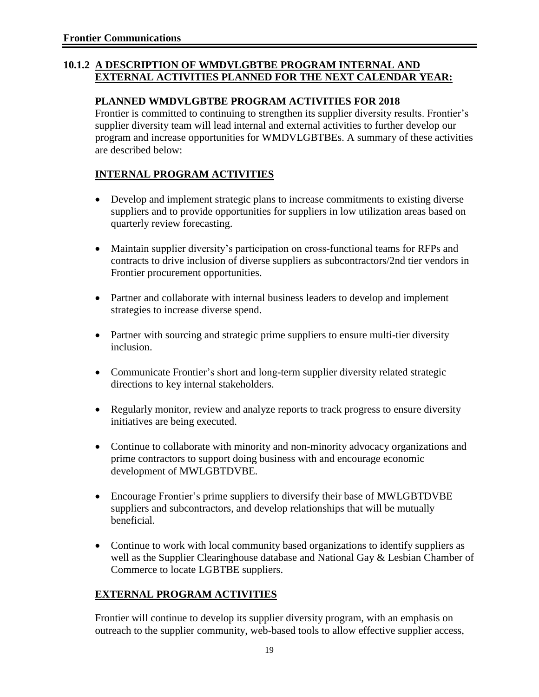#### **10.1.2 A DESCRIPTION OF WMDVLGBTBE PROGRAM INTERNAL AND EXTERNAL ACTIVITIES PLANNED FOR THE NEXT CALENDAR YEAR:**

#### **PLANNED WMDVLGBTBE PROGRAM ACTIVITIES FOR 2018**

Frontier is committed to continuing to strengthen its supplier diversity results. Frontier's supplier diversity team will lead internal and external activities to further develop our program and increase opportunities for WMDVLGBTBEs. A summary of these activities are described below:

### **INTERNAL PROGRAM ACTIVITIES**

- Develop and implement strategic plans to increase commitments to existing diverse suppliers and to provide opportunities for suppliers in low utilization areas based on quarterly review forecasting.
- Maintain supplier diversity's participation on cross-functional teams for RFPs and contracts to drive inclusion of diverse suppliers as subcontractors/2nd tier vendors in Frontier procurement opportunities.
- Partner and collaborate with internal business leaders to develop and implement strategies to increase diverse spend.
- Partner with sourcing and strategic prime suppliers to ensure multi-tier diversity inclusion.
- Communicate Frontier's short and long-term supplier diversity related strategic directions to key internal stakeholders.
- Regularly monitor, review and analyze reports to track progress to ensure diversity initiatives are being executed.
- Continue to collaborate with minority and non-minority advocacy organizations and prime contractors to support doing business with and encourage economic development of MWLGBTDVBE.
- Encourage Frontier's prime suppliers to diversify their base of MWLGBTDVBE suppliers and subcontractors, and develop relationships that will be mutually beneficial.
- Continue to work with local community based organizations to identify suppliers as well as the Supplier Clearinghouse database and National Gay & Lesbian Chamber of Commerce to locate LGBTBE suppliers.

### **EXTERNAL PROGRAM ACTIVITIES**

Frontier will continue to develop its supplier diversity program, with an emphasis on outreach to the supplier community, web-based tools to allow effective supplier access,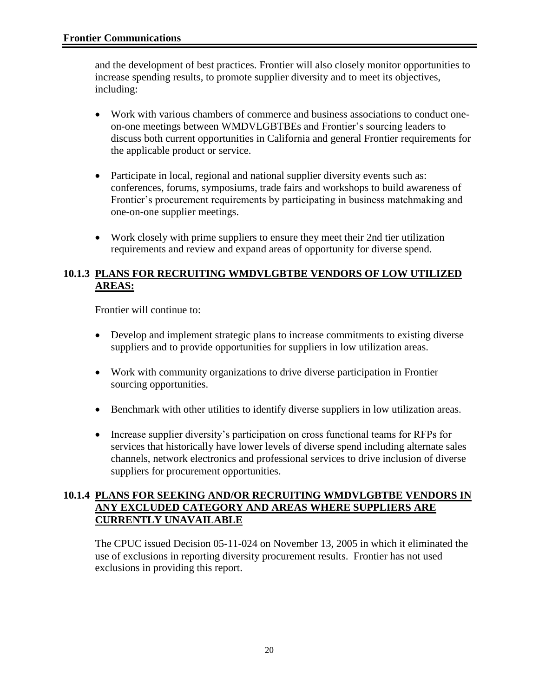and the development of best practices. Frontier will also closely monitor opportunities to increase spending results, to promote supplier diversity and to meet its objectives, including:

- Work with various chambers of commerce and business associations to conduct oneon-one meetings between WMDVLGBTBEs and Frontier's sourcing leaders to discuss both current opportunities in California and general Frontier requirements for the applicable product or service.
- Participate in local, regional and national supplier diversity events such as: conferences, forums, symposiums, trade fairs and workshops to build awareness of Frontier's procurement requirements by participating in business matchmaking and one-on-one supplier meetings.
- Work closely with prime suppliers to ensure they meet their 2nd tier utilization requirements and review and expand areas of opportunity for diverse spend.

#### **10.1.3 PLANS FOR RECRUITING WMDVLGBTBE VENDORS OF LOW UTILIZED AREAS:**

Frontier will continue to:

- Develop and implement strategic plans to increase commitments to existing diverse suppliers and to provide opportunities for suppliers in low utilization areas.
- Work with community organizations to drive diverse participation in Frontier sourcing opportunities.
- Benchmark with other utilities to identify diverse suppliers in low utilization areas.
- Increase supplier diversity's participation on cross functional teams for RFPs for services that historically have lower levels of diverse spend including alternate sales channels, network electronics and professional services to drive inclusion of diverse suppliers for procurement opportunities.

#### **10.1.4 PLANS FOR SEEKING AND/OR RECRUITING WMDVLGBTBE VENDORS IN ANY EXCLUDED CATEGORY AND AREAS WHERE SUPPLIERS ARE CURRENTLY UNAVAILABLE**

The CPUC issued Decision 05-11-024 on November 13, 2005 in which it eliminated the use of exclusions in reporting diversity procurement results. Frontier has not used exclusions in providing this report.